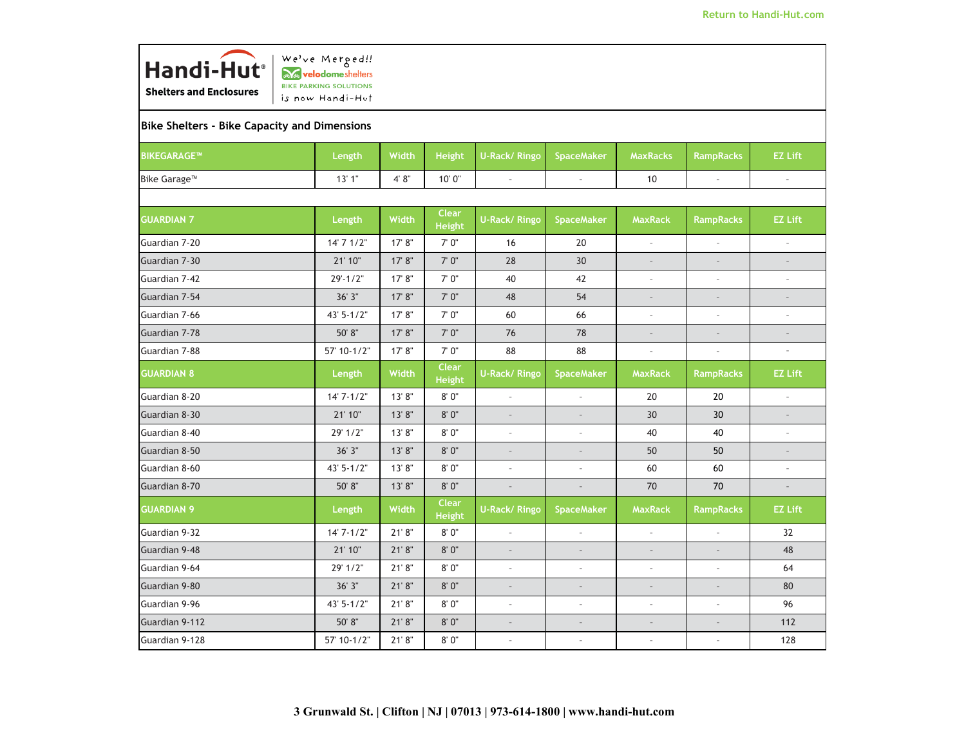

## **Bike Shelters - Bike Capacity and Dimensions**

| BIKEGARAGE™              | Length         | Width   | <b>Height</b>                 | U-Rack/Ringo             | <b>SpaceMaker</b>        | <b>MaxRacks</b>          | <b>RampRacks</b>         | <b>EZ Lift</b>           |
|--------------------------|----------------|---------|-------------------------------|--------------------------|--------------------------|--------------------------|--------------------------|--------------------------|
| Bike Garage <sup>™</sup> | 13'1''         | 4' 8''  | 10' 0"                        | $\sim$                   | $\overline{\phantom{a}}$ | 10                       | $\overline{\phantom{a}}$ | $\bar{a}$                |
|                          |                |         |                               |                          |                          |                          |                          |                          |
| <b>GUARDIAN 7</b>        | Length         | Width   | <b>Clear</b><br><b>Height</b> | U-Rack/Ringo             | <b>SpaceMaker</b>        | <b>MaxRack</b>           | <b>RampRacks</b>         | <b>EZ Lift</b>           |
| Guardian 7-20            | 14' 7' 1/2"    | 17' 8"  | 7' 0"                         | 16                       | 20                       | $\sim$                   | $\overline{\phantom{a}}$ | $\bar{z}$                |
| Guardian 7-30            | 21' 10"        | 17' 8'' | 7'0''                         | 28                       | 30                       | $\overline{\phantom{a}}$ | $\mathcal{L}$            | $\bar{a}$                |
| Guardian 7-42            | $29' - 1/2"$   | 17' 8"  | 7' 0"                         | 40                       | 42                       | $\overline{\phantom{a}}$ | $\overline{\phantom{a}}$ | $\overline{\phantom{a}}$ |
| Guardian 7-54            | 36' 3"         | 17' 8"  | 7'0''                         | 48                       | 54                       | $\sim$                   | $\overline{a}$           | $\bar{a}$                |
| Guardian 7-66            | $43' 5 - 1/2"$ | 17' 8'' | 7'0''                         | 60                       | 66                       | $\overline{\phantom{a}}$ | ÷,                       | $\overline{\phantom{a}}$ |
| Guardian 7-78            | 50' 8"         | 17' 8'' | 7' 0"                         | 76                       | 78                       | $\overline{\phantom{a}}$ |                          | $\frac{1}{2}$            |
| Guardian 7-88            | 57' 10-1/2"    | 17' 8'' | 7'0''                         | 88                       | 88                       | $\overline{\phantom{a}}$ | $\overline{\phantom{a}}$ | $\overline{\phantom{a}}$ |
| <b>GUARDIAN 8</b>        | Length         | Width   | <b>Clear</b><br><b>Height</b> | <b>U-Rack/ Ringo</b>     | <b>SpaceMaker</b>        | <b>MaxRack</b>           | <b>RampRacks</b>         | <b>EZ Lift</b>           |
| Guardian 8-20            | $14'7 - 1/2"$  | 13'8"   | 8'0"                          | $\overline{\phantom{a}}$ | $\overline{\phantom{a}}$ | 20                       | 20                       | $\overline{\phantom{a}}$ |
| Guardian 8-30            | 21' 10"        | 13'8"   | 8'0''                         | $\overline{a}$           | $\overline{\phantom{a}}$ | 30                       | 30                       | $\frac{1}{2}$            |
| Guardian 8-40            | 29' 1/2"       | 13'8"   | 8' 0"                         | $\overline{\phantom{a}}$ | $\overline{\phantom{a}}$ | 40                       | 40                       | $\overline{\phantom{a}}$ |
| Guardian 8-50            | 36'3"          | 13'8"   | 8'0''                         | ÷,                       | $\overline{\phantom{a}}$ | 50                       | 50                       | ÷,                       |
| Guardian 8-60            | $43' 5 - 1/2"$ | 13'8"   | 8' 0"                         | $\mathcal{L}$            | $\overline{\phantom{a}}$ | 60                       | 60                       | $\overline{\phantom{a}}$ |
| Guardian 8-70            | 50' 8"         | 13'8"   | 8'0''                         | $\sim$                   | $\overline{\phantom{a}}$ | 70                       | 70                       | $\overline{\phantom{a}}$ |
| <b>GUARDIAN 9</b>        | Length         | Width   | <b>Clear</b><br><b>Height</b> | <b>U-Rack/ Ringo</b>     | <b>SpaceMaker</b>        | <b>MaxRack</b>           | <b>RampRacks</b>         | <b>EZ Lift</b>           |
| Guardian 9-32            | $14'7-1/2"$    | 21'8"   | 8'0''                         | $\sim$                   | $\sim$                   | $\sim$                   | ÷.                       | 32                       |
| Guardian 9-48            | 21' 10"        | 21'8"   | 8'0''                         | $\overline{\phantom{a}}$ | $\overline{\phantom{a}}$ | $\overline{\phantom{a}}$ | $\overline{\phantom{a}}$ | 48                       |
| Guardian 9-64            | 29' 1/2"       | 21'8''  | 8' 0"                         | ÷,                       | $\overline{\phantom{a}}$ | $\overline{\phantom{a}}$ | L.                       | 64                       |
| Guardian 9-80            | 36'3"          | 21'8"   | 8' 0"                         | $\overline{a}$           | $\sim$                   | $\overline{\phantom{a}}$ | $\overline{a}$           | 80                       |
| Guardian 9-96            | 43' 5-1/2"     | 21'8''  | 8' 0"                         | $\overline{\phantom{a}}$ | $\overline{\phantom{a}}$ | $\sim$                   | $\sim$                   | 96                       |
| Guardian 9-112           | 50' 8"         | 21'8"   | 8' 0"                         | ÷,                       | $\overline{a}$           |                          |                          | 112                      |
| Guardian 9-128           | 57' 10-1/2"    | 21'8"   | $8'$ $0''$                    | $\mathcal{L}$            | $\overline{\phantom{a}}$ | $\sim$                   | $\bar{\phantom{a}}$      | 128                      |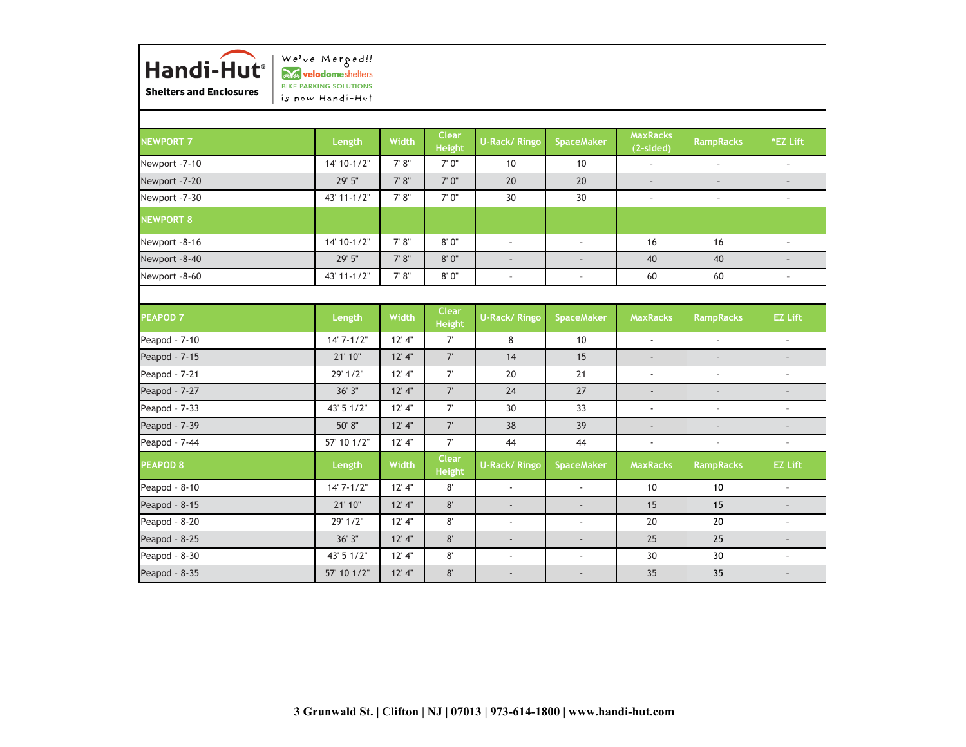

We've Merged!! avelodomeshelters BIKE PARKING SOLUTIONS is now Handi-Hut

| <b>NEWPORT 7</b> | Length          | Width    | <b>Clear</b><br><b>Height</b> | <b>U-Rack/ Ringo</b>     | <b>SpaceMaker</b>         | <b>MaxRacks</b><br>(2-sided) | <b>RampRacks</b>         | *EZ Lift                    |
|------------------|-----------------|----------|-------------------------------|--------------------------|---------------------------|------------------------------|--------------------------|-----------------------------|
| Newport -7-10    | 14' 10-1/2"     | 7' 8''   | 7'0''                         | 10                       | 10                        | $\sim$                       | $\sim$                   | $\mathcal{L}^{\mathcal{A}}$ |
| Newport -7-20    | 29' 5"          | 7' 8''   | $7' 0''$                      | 20                       | 20                        | $\sim$                       | $\mathcal{L}$            | $\sim$                      |
| Newport -7-30    | 43' 11-1/2"     | $7' 8"$  | 7' 0"                         | 30                       | 30                        | $\sim$                       | $\sim$                   | $\sim$                      |
| <b>NEWPORT 8</b> |                 |          |                               |                          |                           |                              |                          |                             |
| Newport -8-16    | $14' 10 - 1/2"$ | 7' 8''   | 8'0''                         | $\sim$                   | $\sim$                    | 16                           | 16                       | $\sim$                      |
| Newport -8-40    | 29' 5"          | 7' 8''   | 8'0''                         | $\overline{\phantom{m}}$ | $\overline{\phantom{a}}$  | 40                           | 40                       | $\sim$                      |
| Newport -8-60    | 43' 11-1/2"     | 7' 8''   | 8' 0"                         | $\overline{\phantom{a}}$ | $\overline{\phantom{a}}$  | 60                           | 60                       | $\sim$                      |
|                  |                 |          |                               |                          |                           |                              |                          |                             |
| <b>PEAPOD 7</b>  | Length          | Width    | <b>Clear</b><br><b>Height</b> | <b>U-Rack/ Ringo</b>     | <b>SpaceMaker</b>         | <b>MaxRacks</b>              | <b>RampRacks</b>         | <b>EZ Lift</b>              |
| Peapod - 7-10    | $14'7 - 1/2"$   | 12' 4''  | $7^{\circ}$                   | 8                        | 10                        | $\mathbb{Z}^+$               | $\overline{\phantom{a}}$ | $\sim$                      |
| Peapod - 7-15    | 21' 10"         | 12' 4''  | $7^{\circ}$                   | 14                       | 15                        | $\overline{\phantom{0}}$     | $\sim$                   | $\overline{\phantom{a}}$    |
| Peapod - 7-21    | 29' 1/2"        | 12' 4''  | $7^{\circ}$                   | 20                       | 21                        | $\mathbf{r}$                 | $\sim$                   | $\overline{\phantom{a}}$    |
| Peapod - 7-27    | 36'3"           | $12'$ 4" | $7^{\circ}$                   | 24                       | 27                        | $\mathcal{L}_{\mathcal{A}}$  | $\sim$                   | $\overline{\phantom{a}}$    |
| Peapod - 7-33    | 43' 5 1/2"      | 12' 4''  | $7^{\circ}$                   | 30                       | 33                        | $\blacksquare$               | $\overline{\phantom{a}}$ | $\overline{\phantom{a}}$    |
| Peapod - 7-39    | 50' 8"          | $12'$ 4" | $7^{\circ}$                   | 38                       | 39                        | $\blacksquare$               | $\overline{\phantom{a}}$ | $\sim$                      |
| Peapod - 7-44    | 57' 10 1/2"     | $12'$ 4" | $7^{\circ}$                   | 44                       | 44                        | $\mathbb{Z}^+$               | $\sim$                   | $\overline{\phantom{a}}$    |
| <b>PEAPOD 8</b>  | Length          | Width    | <b>Clear</b><br><b>Height</b> | <b>U-Rack/ Ringo</b>     | <b>SpaceMaker</b>         | <b>MaxRacks</b>              | <b>RampRacks</b>         | <b>EZ Lift</b>              |
| Peapod - 8-10    | $14'7 - 1/2"$   | 12' 4''  | $8^{\circ}$                   | $\blacksquare$           | $\mathbb{Z}^+$            | 10                           | 10                       | $\sim$                      |
| Peapod - 8-15    | 21' 10"         | $12'$ 4" | 8'                            |                          | $\overline{\phantom{a}}$  | 15                           | 15                       | $\overline{\phantom{a}}$    |
| Peapod - 8-20    | 29' 1/2"        | $12'$ 4" | $8^{\circ}$                   | ä,                       | $\mathbb{Z}^{\mathbb{Z}}$ | 20                           | 20                       | $\sim$                      |
| Peapod - 8-25    | 36'3"           | 12' 4"   | 8'                            | $\blacksquare$           | $\mathcal{L}^{\pm}$       | 25                           | 25                       | $\sim$                      |
| Peapod - 8-30    | 43' 5 1/2"      | $12'$ 4" | 8'                            | $\blacksquare$           | $\overline{\phantom{a}}$  | 30                           | 30                       | $\sim$                      |
| Peapod - 8-35    | 57' 10 1/2"     | $12'$ 4" | 8'                            |                          | $\overline{a}$            | 35                           | 35                       |                             |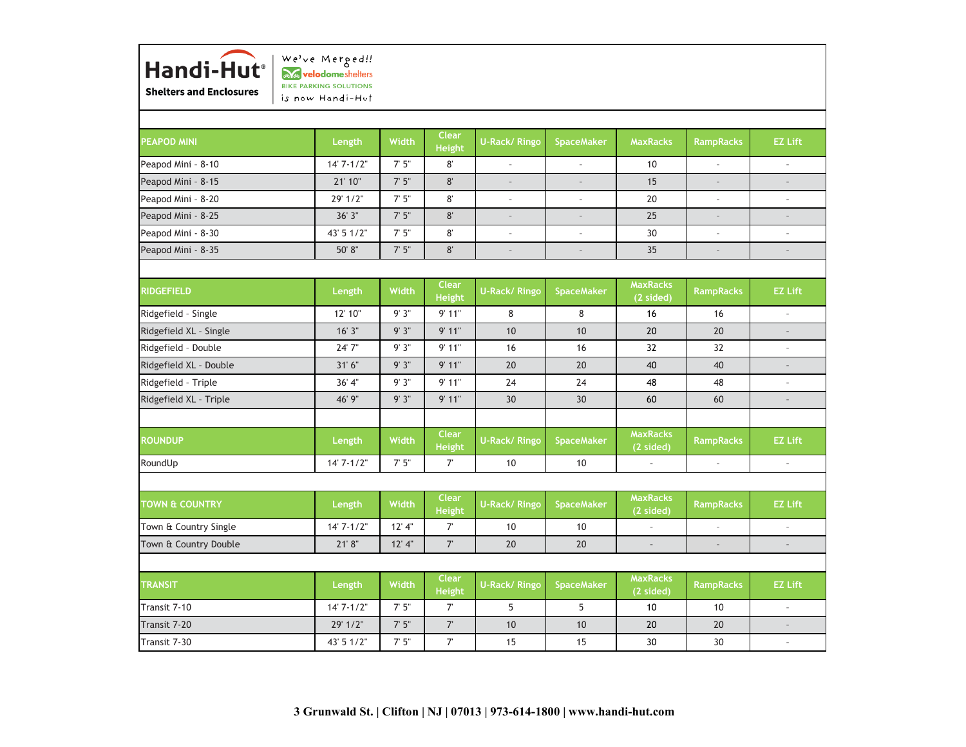

Transit 7-10 14' 7-1/2" 7' 5" 7' 5 55 **1 10 1 10 1 – TRANSIT Length Width Clear Height U-Rack/ Ringo SpaceMaker MaxRacks (2 sided) RampRacks EZ Lift** –Town & Country Double 21' 8" 12' 4" 7' 20 20 – – – **RampRacks EZ Lift** Town & Country Single 14' 7-1/2" | 12' 4" | 7' | 10 | 10 | -– –**TOWN & COUNTRY Length Width Clear Height U-Rack/ Ringo SpaceMaker MaxRacks (2 sided) MaxRacks (2 sided) RampRacks EZ Lift** RoundUp 14' 7-1/2" 7' 5" 7' 10 10 – **ROUNDUP Length Width Clear Height U-Rack/ Ringo SpaceMaker** –48 –Ridgefield XL – Triple 46' 9" 9' 3" 9' 11" 30 30 60 60 40 40 – Ridgefield – Triple 36' 4" 9' 3" 9' 11" 24 24 48 Ridgefield XL - Double **31' 6** 31' 6" | 9' 3" | 9' 11" | 20 | 20 –Ridgefield – Double 24' 7" 9' 3" 9' 11" 16 16 32 32 – 16 –Ridgefield XL - Single 16' 3' | 9' 3' | 9' 11" | 10 | 10 | 20 | 20 **MaxRacks (2 sided) RampRacks EZ Lift** Ridgefield – Single 12' 10" 9' 3" 9' 11" 8 8 16 35 – –**RIDGEFIELD Length Width Clear Height U-Rack/ Ringo SpaceMaker** Peapod Mini - 8-35 50' 8'' 7' 5" 8' – – –Peapod Mini - 8-30 43' 5 1/2" 7' 5" 8' – – 30 – – –Peapod Mini - 8-25 36' 3" 7' 5" 8' – – 25 – 15 – –Peapod Mini - 8-20 29' 1/2" | 7' 5" | 8' | - | - | 20 Peapod Mini – 8-15 21' 10" 7' 5" 8' – – **EZ Lift**Peapod Mini – 8-10 14' 7-1/2" 7' 5" 8' – – 10 – – **PEAPOD MINI Length Width Clear Height U-Rack/ Ringo SpaceMaker MaxRacks RampRacks**

30 30 –

0 1 20 1 20 1 –

Transit 7-30 43' 5 1/2" 7' 5" 7' 15 15

Transit 7-20 29' 1/2" | 7' 5" | 7' | 10 | 10